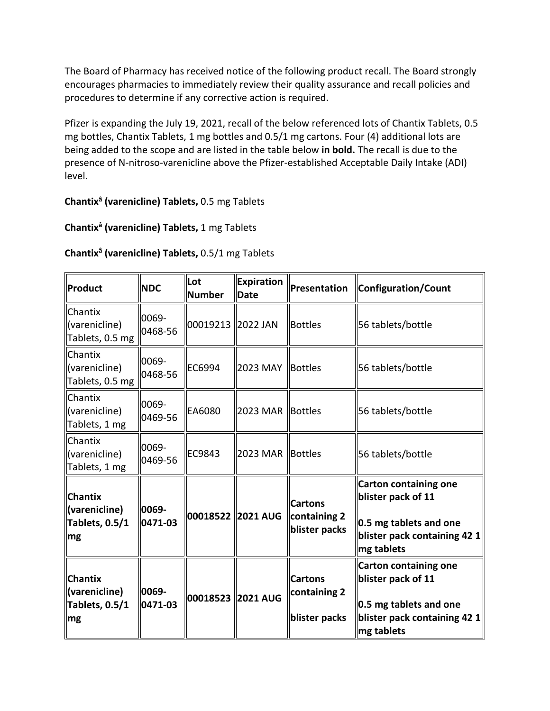The Board of Pharmacy has received notice of the following product recall. The Board strongly encourages pharmacies to immediately review their quality assurance and recall policies and procedures to determine if any corrective action is required.

 Pfizer is expanding the July 19, 2021, recall of the below referenced lots of Chantix Tablets, 0.5 mg bottles, Chantix Tablets, 1 mg bottles and 0.5/1 mg cartons. Four (4) additional lots are being added to the scope and are listed in the table below **in bold.** The recall is due to the presence of N-nitroso-varenicline above the Pfizer-established Acceptable Daily Intake (ADI) level.

## **Chantixâ (varenicline) Tablets,** 0.5 mg Tablets

## **Chantixâ (varenicline) Tablets,** 1 mg Tablets

## **Chantixâ (varenicline) Tablets,** 0.5/1 mg Tablets

| Product                                                        | <b>NDC</b>       | Lot<br><b>Number</b> | Expiration<br><b>Date</b> | Presentation                                    | Configuration/Count                                                                                                        |
|----------------------------------------------------------------|------------------|----------------------|---------------------------|-------------------------------------------------|----------------------------------------------------------------------------------------------------------------------------|
| Chantix<br>(varenicline)<br>Tablets, 0.5 mg                    | 0069-<br>0468-56 | 00019213 2022 JAN    |                           | <b>Bottles</b>                                  | 56 tablets/bottle                                                                                                          |
| Chantix<br>(varenicline)<br>Tablets, 0.5 mg                    | 0069-<br>0468-56 | EC6994               | 2023 MAY                  | Bottles                                         | 56 tablets/bottle                                                                                                          |
| Chantix<br>(varenicline)<br>Tablets, 1 mg                      | 0069-<br>0469-56 | EA6080               | 2023 MAR                  | Bottles                                         | 56 tablets/bottle                                                                                                          |
| Chantix<br>(varenicline)<br>Tablets, 1 mg                      | 0069-<br>0469-56 | EC9843               | 2023 MAR Bottles          |                                                 | 56 tablets/bottle                                                                                                          |
| <b>Chantix</b><br>(varenicline)<br>Tablets, 0.5/1<br>mg        | 0069-<br>0471-03 | 00018522 2021 AUG    |                           | <b>Cartons</b><br>containing 2<br>blister packs | <b>Carton containing one</b><br>blister pack of 11<br>0.5 mg tablets and one<br>blister pack containing 42 1<br>mg tablets |
| <b>Chantix</b><br>(varenicline)<br><b>Tablets, 0.5/1</b><br>mg | 0069-<br>0471-03 | 00018523 2021 AUG    |                           | <b>Cartons</b><br>containing 2<br>blister packs | <b>Carton containing one</b><br>blister pack of 11<br>0.5 mg tablets and one<br>blister pack containing 42 1<br>mg tablets |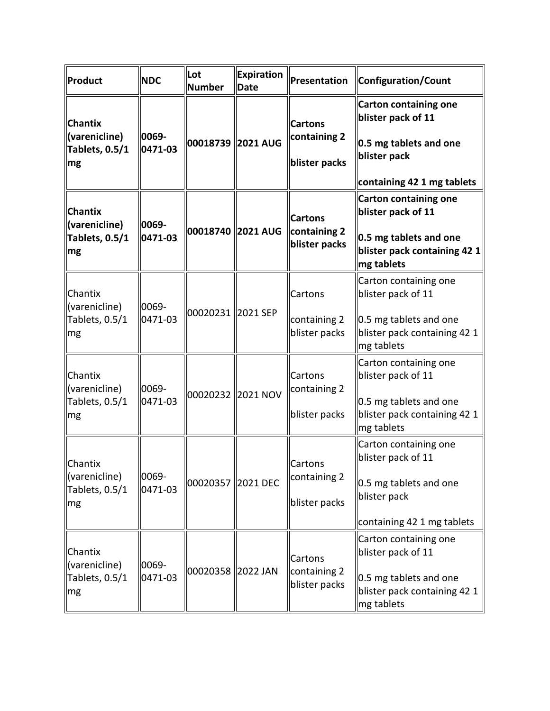| Product                                                               | <b>NDC</b>           | Lot<br><b>Number</b> | <b>Expiration</b><br><b>Date</b> | Presentation                                    | Configuration/Count                                                                                                        |
|-----------------------------------------------------------------------|----------------------|----------------------|----------------------------------|-------------------------------------------------|----------------------------------------------------------------------------------------------------------------------------|
| <b>Chantix</b><br>(varenicline)<br>Tablets, 0.5/1<br>mg               | 0069-<br>0471-03     |                      | 00018739 2021 AUG                | <b>Cartons</b><br>containing 2<br>blister packs | <b>Carton containing one</b><br>blister pack of 11<br>0.5 mg tablets and one<br>blister pack<br>containing 42 1 mg tablets |
| <b>Chantix</b><br>(varenicline)<br>Tablets, 0.5/1<br>mg               | 0069-<br>0471-03     |                      | 00018740 2021 AUG                | <b>Cartons</b><br>containing 2<br>blister packs | <b>Carton containing one</b><br>blister pack of 11<br>0.5 mg tablets and one<br>blister pack containing 42 1<br>mg tablets |
| Chantix<br>(varenicline)<br>Tablets, 0.5/1<br>mg                      | 0069-<br>0471-03     | 00020231 2021 SEP    |                                  | Cartons<br>containing 2<br>blister packs        | Carton containing one<br>blister pack of 11<br>0.5 mg tablets and one<br>blister pack containing 42 1<br>mg tablets        |
| Chantix<br>(varenicline)<br>Tablets, 0.5/1<br><b>Img</b>              | 0069-<br>0471-03     |                      | 00020232 2021 NOV                | Cartons<br>containing 2<br>blister packs        | Carton containing one<br>blister pack of 11<br>0.5 mg tablets and one<br>blister pack containing 42 1<br>mg tablets        |
| Chantix<br>(varenicline)<br>Tablets, 0.5/1<br>$\mathsf{Im}\mathsf{g}$ | $ 0069 -$<br>0471-03 | 00020357 2021 DEC    |                                  | Cartons<br>containing 2<br>blister packs        | Carton containing one<br>blister pack of 11<br>0.5 mg tablets and one<br>blister pack<br>containing 42 1 mg tablets        |
| Chantix<br>(varenicline)<br>Tablets, 0.5/1<br>mg                      | 0069-<br>0471-03     | 00020358 2022 JAN    |                                  | Cartons<br>containing 2<br>blister packs        | Carton containing one<br>blister pack of 11<br>0.5 mg tablets and one<br>blister pack containing 42 1<br>mg tablets        |